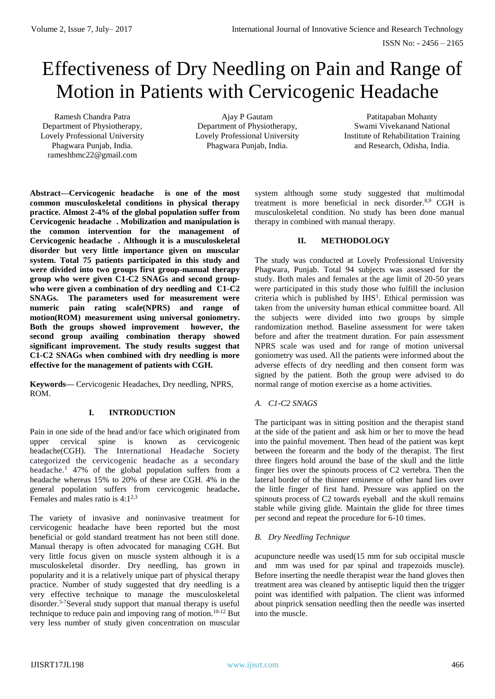# Effectiveness of Dry Needling on Pain and Range of Motion in Patients with Cervicogenic Headache

Ramesh Chandra Patra Department of Physiotherapy, Lovely Professional University Phagwara Punjab, India. rameshbmc22@gmail.com

Ajay P Gautam Department of Physiotherapy, Lovely Professional University Phagwara Punjab, India.

Patitapaban Mohanty Swami Vivekanand National Institute of Rehabilitation Training and Research, Odisha, India.

**Abstract—Cervicogenic headache is one of the most common musculoskeletal conditions in physical therapy practice. Almost 2-4% of the global population suffer from Cervicogenic headache . Mobilization and manipulation is the common intervention for the management of Cervicogenic headache . Although it is a musculoskeletal disorder but very little importance given on muscular system. Total 75 patients participated in this study and were divided into two groups first group-manual therapy group who were given C1-C2 SNAGs and second groupwho were given a combination of dry needling and C1-C2 SNAGs. The parameters used for measurement were numeric pain rating scale(NPRS) and range of motion(ROM) measurement using universal goniometry. Both the groups showed improvement however, the second group availing combination therapy showed significant improvement. The study results suggest that C1-C2 SNAGs when combined with dry needling is more effective for the management of patients with CGH.**

**Keywords—** Cervicogenic Headaches, Dry needling, NPRS, ROM.

## **I. INTRODUCTION**

Pain in one side of the head and/or face which originated from upper cervical spine is known as cervicogenic headache(CGH). The International Headache Society categorized the cervicogenic headache as a secondary headache.<sup>1</sup> 47% of the global population suffers from a headache whereas 15% to 20% of these are CGH. 4% in the general population suffers from cervicogenic headache**.** Females and males ratio is  $4:1^{2,3}$ 

The variety of invasive and noninvasive treatment for cervicogenic headache have been reported but the most beneficial or gold standard treatment has not been still done. Manual therapy is often advocated for managing CGH. But very little focus given on muscle system although it is a musculoskeletal disorder. Dry needling, has grown in popularity and it is a relatively unique part of physical therapy practice. Number of study suggested that dry needling is a very effective technique to manage the musculoskeletal disorder.<sup>5-7</sup>Several study support that manual therapy is useful technique to reduce pain and impoving rang of motion.<sup>10-12</sup> But very less number of study given concentration on muscular

system although some study suggested that multimodal treatment is more beneficial in neck disorder.8,9 CGH is musculoskeletal condition. No study has been done manual therapy in combined with manual therapy.

## **II. METHODOLOGY**

The study was conducted at Lovely Professional University Phagwara, Punjab. Total 94 subjects was assessed for the study. Both males and females at the age limit of 20-50 years were participated in this study those who fulfill the inclusion criteria which is published by  $IHS<sup>1</sup>$ . Ethical permission was taken from the university human ethical committee board. All the subjects were divided into two groups by simple randomization method. Baseline assessment for were taken before and after the treatment duration. For pain assessment NPRS scale was used and for range of motion universal goniometry was used. All the patients were informed about the adverse effects of dry needling and then consent form was signed by the patient. Both the group were advised to do normal range of motion exercise as a home activities.

#### *A. C1-C2 SNAGS*

The participant was in sitting position and the therapist stand at the side of the patient and ask him or her to move the head into the painful movement. Then head of the patient was kept between the forearm and the body of the therapist. The first three fingers hold around the base of the skull and the little finger lies over the spinouts process of C2 vertebra. Then the lateral border of the thinner eminence of other hand lies over the little finger of first hand. Pressure was applied on the spinouts process of C2 towards eyeball and the skull remains stable while giving glide. Maintain the glide for three times per second and repeat the procedure for 6-10 times.

#### *B. Dry Needling Technique*

acupuncture needle was used(15 mm for sub occipital muscle and mm was used for par spinal and trapezoids muscle). Before inserting the needle therapist wear the hand gloves then treatment area was cleaned by antiseptic liquid then the trigger point was identified with palpation. The client was informed about pinprick sensation needling then the needle was inserted into the muscle.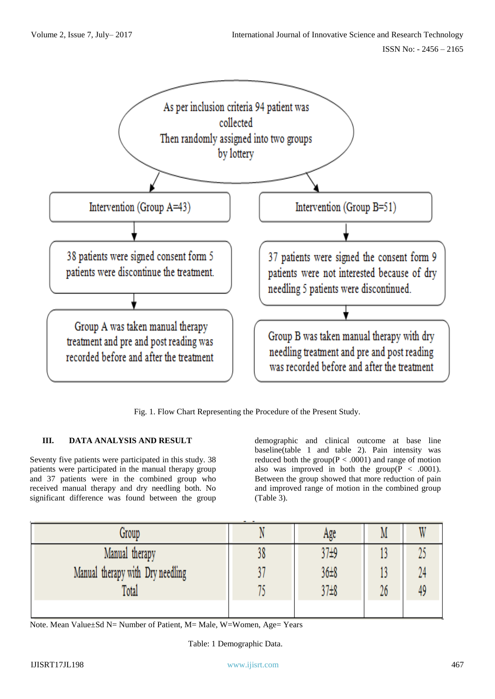

Fig. 1. Flow Chart Representing the Procedure of the Present Study.

# **III. DATA ANALYSIS AND RESULT**

Seventy five patients were participated in this study. 38 patients were participated in the manual therapy group and 37 patients were in the combined group who received manual therapy and dry needling both. No significant difference was found between the group

demographic and clinical outcome at base line baseline(table 1 and table 2). Pain intensity was reduced both the group( $P < .0001$ ) and range of motion also was improved in both the group( $P < .0001$ ). Between the group showed that more reduction of pain and improved range of motion in the combined group (Table 3).

| Group                            | Age              | M  |  |
|----------------------------------|------------------|----|--|
| Manual therapy                   | 37 <sub>±9</sub> |    |  |
| Manual therapy with Dry needling | $36 \pm 8$       | ш  |  |
| Total                            | $37\pm8$         | 26 |  |
|                                  |                  |    |  |

Note. Mean Value±Sd N= Number of Patient, M= Male, W=Women, Age= Years

Table: 1 Demographic Data.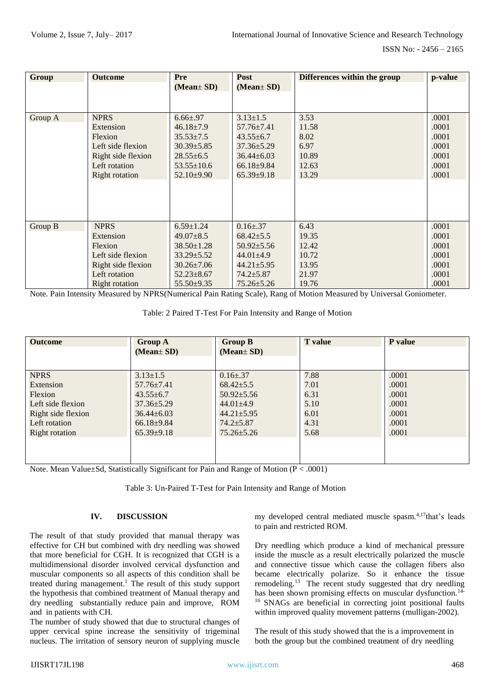| ISSN No: - 2456 - 2165 |  |
|------------------------|--|
|                        |  |

| Group   | <b>Outcome</b>        | Pre              | Post             | Differences within the group | p-value |
|---------|-----------------------|------------------|------------------|------------------------------|---------|
|         |                       | $(Mean \pm SD)$  | $(Mean \pm SD)$  |                              |         |
|         |                       |                  |                  |                              |         |
| Group A | <b>NPRS</b>           | $6.66{\pm}0.97$  | $3.13 \pm 1.5$   | 3.53                         | .0001   |
|         | Extension             | $46.18 \pm 7.9$  | $57.76 \pm 7.41$ | 11.58                        | .0001   |
|         | Flexion               | $35.53 \pm 7.5$  | $43.55 \pm 6.7$  | 8.02                         | .0001   |
|         | Left side flexion     | $30.39 \pm 5.85$ | $37.36 \pm 5.29$ | 6.97                         | .0001   |
|         | Right side flexion    | $28.55 \pm 6.5$  | $36.44 \pm 6.03$ | 10.89                        | .0001   |
|         | Left rotation         | $53.55 \pm 10.6$ | $66.18 \pm 9.84$ | 12.63                        | .0001   |
|         | <b>Right</b> rotation | $52.10\pm9.90$   | $65.39 \pm 9.18$ | 13.29                        | .0001   |
|         |                       |                  |                  |                              |         |
|         |                       |                  |                  |                              |         |
|         |                       |                  |                  |                              |         |
|         |                       |                  |                  |                              |         |
| Group B | <b>NPRS</b>           | $6.59 \pm 1.24$  | $0.16 \pm .37$   | 6.43                         | .0001   |
|         | Extension             | $49.07 \pm 8.5$  | $68.42 \pm 5.5$  | 19.35                        | .0001   |
|         | Flexion               | $38.50 \pm 1.28$ | $50.92 \pm 5.56$ | 12.42                        | .0001   |
|         | Left side flexion     | $33.29 \pm 5.52$ | $44.01 \pm 4.9$  | 10.72                        | .0001   |
|         | Right side flexion    | $30.26 \pm 7.06$ | $44.21 \pm 5.95$ | 13.95                        | .0001   |
|         | Left rotation         | $52.23 \pm 8.67$ | $74.2 \pm 5.87$  | 21.97                        | .0001   |
|         | Right rotation        | $55.50\pm9.35$   | $75.26 \pm 5.26$ | 19.76                        | .0001   |

Note. Pain Intensity Measured by NPRS(Numerical Pain Rating Scale), Rang of Motion Measured by Universal Goniometer.

Table: 2 Paired T-Test For Pain Intensity and Range of Motion

| <b>Outcome</b>     | <b>Group A</b>   | <b>Group B</b>   | <b>T</b> value | P value |
|--------------------|------------------|------------------|----------------|---------|
|                    | $(Mean \pm SD)$  | $(Mean \pm SD)$  |                |         |
|                    |                  |                  |                |         |
| <b>NPRS</b>        | $3.13 \pm 1.5$   | $0.16 \pm 0.37$  | 7.88           | .0001   |
| Extension          | $57.76 \pm 7.41$ | $68.42 \pm 5.5$  | 7.01           | .0001   |
| Flexion            | $43.55 \pm 6.7$  | $50.92 \pm 5.56$ | 6.31           | .0001   |
| Left side flexion  | $37.36 \pm 5.29$ | $44.01 \pm 4.9$  | 5.10           | .0001   |
| Right side flexion | $36.44 \pm 6.03$ | $44.21 \pm 5.95$ | 6.01           | .0001   |
| Left rotation      | $66.18 \pm 9.84$ | $74.2 \pm 5.87$  | 4.31           | .0001   |
| Right rotation     | $65.39 \pm 9.18$ | $75.26 \pm 5.26$ | 5.68           | .0001   |
|                    |                  |                  |                |         |
|                    |                  |                  |                |         |
|                    |                  |                  |                |         |

Note. Mean Value±Sd, Statistically Significant for Pain and Range of Motion (P < .0001)

Table 3: Un-Paired T-Test for Pain Intensity and Range of Motion

### **IV. DISCUSSION**

The result of that study provided that manual therapy was effective for CH but combined with dry needling was showed that more beneficial for CGH. It is recognized that CGH is a multidimensional disorder involved cervical dysfunction and muscular components so all aspects of this condition shall be treated during management.<sup>1</sup> The result of this study support the hypothesis that combined treatment of Manual therapy and dry needling substantially reduce pain and improve, ROM and in patients with CH.

The number of study showed that due to structural changes of upper cervical spine increase the sensitivity of trigeminal nucleus. The irritation of sensory neuron of supplying muscle

my developed central mediated muscle spasm.4,17that's leads to pain and restricted ROM.

Dry needling which produce a kind of mechanical pressure inside the muscle as a result electrically polarized the muscle and connective tissue which cause the collagen fibers also became electrically polarize. So it enhance the tissue remodeling.<sup>13</sup> The recent study suggested that dry needling has been shown promising effects on muscular dysfunction.<sup>14-</sup> <sup>16</sup> SNAGs are beneficial in correcting joint positional faults within improved quality movement patterns (mulligan-2002).

The result of this study showed that the is a improvement in both the group but the combined treatment of dry needling